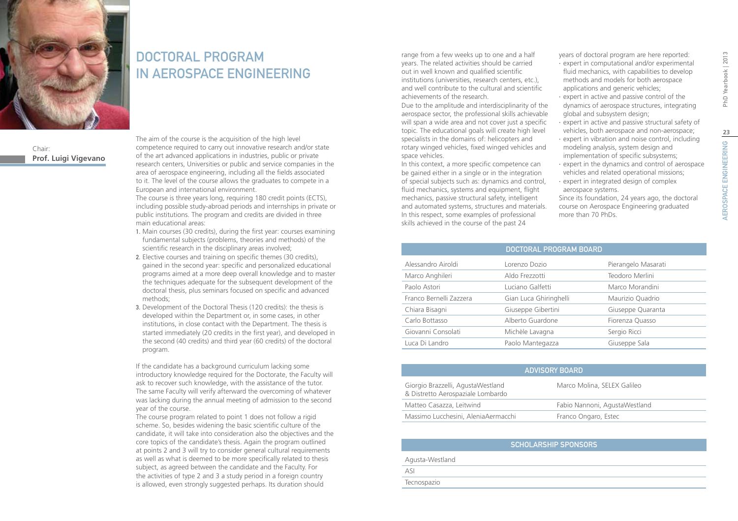

Chair: **Prof. Luigi Vigevano**

### DOCTORAL PROGRAM IN AEROSPACE ENGINEERING

The aim of the course is the acquisition of the high level competence required to carry out innovative research and/or state of the art advanced applications in industries, public or private research centers, Universities or public and service companies in the area of aerospace engineering, including all the fields associated to it. The level of the course allows the graduates to compete in a European and international environment.

The course is three years long, requiring 180 credit points (ECTS), including possible study-abroad periods and internships in private or public institutions. The program and credits are divided in three main educational areas:

- 1. Main courses (30 credits), during the first year: courses examining fundamental subjects (problems, theories and methods) of the scientific research in the disciplinary areas involved;
- 2. Elective courses and training on specific themes (30 credits), gained in the second year: specific and personalized educational programs aimed at a more deep overall knowledge and to master the techniques adequate for the subsequent development of the doctoral thesis, plus seminars focused on specific and advanced methods;
- 3. Development of the Doctoral Thesis (120 credits): the thesis is developed within the Department or, in some cases, in other institutions, in close contact with the Department. The thesis is started immediately (20 credits in the first year), and developed in the second (40 credits) and third year (60 credits) of the doctoral program.

If the candidate has a background curriculum lacking some introductory knowledge required for the Doctorate, the Faculty will ask to recover such knowledge, with the assistance of the tutor. The same Faculty will verify afterward the overcoming of whatever was lacking during the annual meeting of admission to the second year of the course.

The course program related to point 1 does not follow a rigid scheme. So, besides widening the basic scientific culture of the candidate, it will take into consideration also the objectives and the core topics of the candidate's thesis. Again the program outlined at points 2 and 3 will try to consider general cultural requirements as well as what is deemed to be more specifically related to thesis subject, as agreed between the candidate and the Faculty. For the activities of type 2 and 3 a study period in a foreign country is allowed, even strongly suggested perhaps. Its duration should

range from a few weeks up to one and a half years. The related activities should be carried out in well known and qualified scientific institutions (universities, research centers, etc.), and well contribute to the cultural and scientific achievements of the research.

Due to the amplitude and interdisciplinarity of the aerospace sector, the professional skills achievable will span a wide area and not cover just a specific topic. The educational goals will create high level specialists in the domains of: helicopters and rotary winged vehicles, fixed winged vehicles and space vehicles.

In this context, a more specific competence can be gained either in a single or in the integration of special subjects such as: dynamics and control, fluid mechanics, systems and equipment, flight mechanics, passive structural safety, intelligent and automated systems, structures and materials. In this respect, some examples of professional skills achieved in the course of the past 24

years of doctoral program are here reported:

- ∙ expert in computational and/or experimental fluid mechanics, with capabilities to develop methods and models for both aerospace applications and generic vehicles;
- ∙ expert in active and passive control of the dynamics of aerospace structures, integrating global and subsystem design;
- ∙ expert in active and passive structural safety of vehicles, both aerospace and non-aerospace;
- ∙ expert in vibration and noise control, including modeling analysis, system design and implementation of specific subsystems;
- ∙ expert in the dynamics and control of aerospace vehicles and related operational missions;
- ∙ expert in integrated design of complex aerospace systems.

Since its foundation, 24 years ago, the doctoral course on Aerospace Engineering graduated more than 70 PhDs.

|                         | DOCTORAL PROGRAM BOARD |                     |
|-------------------------|------------------------|---------------------|
| Alessandro Airoldi      | Lorenzo Dozio          | Pierangelo Masarati |
| Marco Anghileri         | Aldo Frezzotti         | Teodoro Merlini     |
| Paolo Astori            | Luciano Galfetti       | Marco Morandini     |
| Franco Bernelli Zazzera | Gian Luca Ghiringhelli | Maurizio Quadrio    |
| Chiara Bisagni          | Giuseppe Gibertini     | Giuseppe Quaranta   |
| Carlo Bottasso          | Alberto Guardone       | Fiorenza Quasso     |
| Giovanni Consolati      | Michèle Lavagna        | Sergio Ricci        |
| Luca Di Landro          | Paolo Mantegazza       | Giuseppe Sala       |

| ADVISORY BOARD                                                         |                               |  |
|------------------------------------------------------------------------|-------------------------------|--|
| Giorgio Brazzelli, AgustaWestland<br>& Distretto Aerospaziale Lombardo | Marco Molina, SELEX Galileo   |  |
| Matteo Casazza, Leitwind                                               | Fabio Nannoni, AgustaWestland |  |
| Massimo Lucchesini, AleniaAermacchi                                    | Franco Ongaro, Estec          |  |

|                 | <b>SCHOLARSHIP SPONSORS</b> |
|-----------------|-----------------------------|
| Agusta-Westland |                             |
| ası             |                             |
| Tecnospazio     |                             |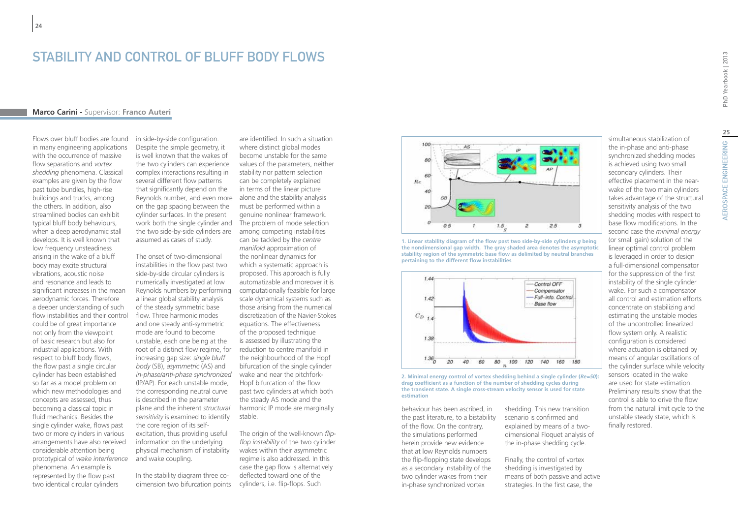### STABILITY AND CONTROL OF BLUFF BODY FLOWS

### **Marco Carini -** Supervisor: **Franco Auteri**

Flows over bluff bodies are found in many engineering applications with the occurrence of massive flow separations and *vortex shedding* phenomena. Classical examples are given by the flow past tube bundles, high-rise buildings and trucks, among the others. In addition, also streamlined bodies can exhibit typical bluff body behaviours, when a deep aerodynamic stall develops. It is well known that low frequency unsteadiness arising in the wake of a bluff body may excite structural vibrations, acoustic noise and resonance and leads to significant increases in the mean aerodynamic forces. Therefore a deeper understanding of such flow instabilities and their control could be of great importance not only from the viewpoint of basic research but also for industrial applications. With respect to bluff body flows, the flow past a single circular cylinder has been established so far as a model problem on which new methodologies and concepts are assessed, thus becoming a classical topic in fluid mechanics. Besides the single cylinder wake, flows past two or more cylinders in various arrangements have also received considerable attention being prototypical of *wake interference* phenomena. An example is represented by the flow past two identical circular cylinders

in side-by-side configuration. Despite the simple geometry, it is well known that the wakes of the two cylinders can experience complex interactions resulting in several different flow patterns that significantly depend on the Reynolds number*,* and even more alone and the stability analysis on the gap spacing between the cylinder surfaces. In the present work both the single cylinder and The problem of mode selection the two side-by-side cylinders are assumed as cases of study.

The onset of two-dimensional instabilities in the flow past two side-by-side circular cylinders is numerically investigated at low Reynolds numbers by performing a linear global stability analysis of the steady symmetric base flow. Three harmonic modes and one steady anti-symmetric mode are found to become unstable, each one being at the root of a distinct flow regime, for increasing gap size: *single bluff body* (SB), *asymmetric* (AS) and *in-phase/anti-phase synchronized* (lP/AP). For each unstable mode, the corresponding neutral curve is described in the parameter plane and the inherent *structural sensitivity* is examined to identify the core region of its selfexcitation, thus providing useful information on the underlying physical mechanism of instability and wake coupling.

In the stability diagram three codimension two bifurcation points

are identified. In such a situation where distinct global modes become unstable for the same values of the parameters, neither stability nor pattern selection can be completely explained in terms of the linear picture must be performed within a genuine nonlinear framework. among competing instabilities can be tackled by the *centre manifold* approximation of the nonlinear dynamics for which a systematic approach is proposed. This approach is fully automatizable and moreover it is computationally feasible for large scale dynamical systems such as those arising from the numerical discretization of the Navier-Stokes equations. The effectiveness of the proposed technique is assessed by illustrating the reduction to centre manifold in the neighbourhood of the Hopf bifurcation of the single cylinder wake and near the pitchfork-Hopf bifurcation of the flow past two cylinders at which both the steady AS mode and the harmonic IP mode are marginally stable.

The origin of the well-known *flipflop instability* of the two cylinder wakes within their asymmetric regime is also addressed. In this case the gap flow is alternatively deflected toward one of the cylinders, i.e. flip-flops. Such



**1. Linear stability diagram of the flow past two side-by-side cylinders** *g* **being the nondimensional gap width. The gray shaded area denotes the asymptotic stability region of the symmetric base flow as delimited by neutral branches pertaining to the different flow instabilities**



**2. Minimal energy control of vortex shedding behind a single cylinder (***Re=50***): drag coefficient as a function of the number of shedding cycles during the transient state. A single cross-stream velocity sensor is used for state estimation**

behaviour has been ascribed, in the past literature, to a bistability of the flow. On the contrary, the simulations performed herein provide new evidence that at low Reynolds numbers the flip-flopping state develops as a secondary instability of the two cylinder wakes from their in-phase synchronized vortex

shedding. This new transition scenario is confirmed and explained by means of a twodimensional Floquet analysis of the in-phase shedding cycle.

Finally, the control of vortex shedding is investigated by means of both passive and active strategies. In the first case, the

simultaneous stabilization of the in-phase and anti-phase synchronized shedding modes is achieved using two small secondary cylinders. Their effective placement in the nearwake of the two main cylinders takes advantage of the structural sensitivity analysis of the two shedding modes with respect to base flow modifications. In the second case the *minimal energy* (or small gain) solution of the linear optimal control problem is leveraged in order to design a full-dimensional compensator for the suppression of the first instability of the single cylinder wake. For such a compensator all control and estimation efforts concentrate on stabilizing and estimating the unstable modes of the uncontrolled linearized flow system only. A realistic configuration is considered where actuation is obtained by means of angular oscillations of the cylinder surface while velocity sensors located in the wake are used for state estimation. Preliminary results show that the control is able to drive the flow from the natural limit cycle to the unstable steady state, which is

finally restored.

**25**

AEROSPACE ENGINEERING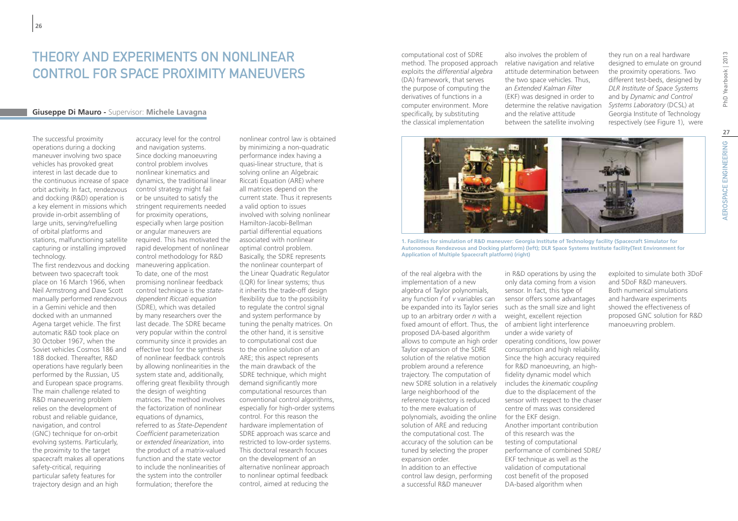### THEORY AND EXPERIMENTS ON NONI INFAR CONTROL FOR SPACE PROXIMITY MANEUVERS

### **Giuseppe Di Mauro -** Supervisor: **Michele Lavagna**

The successful proximity operations during a docking maneuver involving two space vehicles has provoked great interest in last decade due to the continuous increase of space orbit activity. In fact, rendezvous and docking (R&D) operation is a key element in missions which provide in-orbit assembling of large units, serving/refuelling of orbital platforms and stations, malfunctioning satellite capturing or installing improved technology.

The first rendezvous and docking between two spacecraft took place on 16 March 1966, when Neil Armstrong and Dave Scott manually performed rendezvous in a Gemini vehicle and then docked with an unmanned Agena target vehicle. The first automatic R&D took place on 30 October 1967, when the Soviet vehicles Cosmos 186 and 188 docked. Thereafter, R&D operations have regularly been performed by the Russian, US and European space programs. The main challenge related to R&D maneuvering problem relies on the development of robust and reliable guidance, navigation, and control (GNC) technique for on-orbit evolving systems. Particularly, the proximity to the target spacecraft makes all operations safety-critical, requiring particular safety features for trajectory design and an high

accuracy level for the control and navigation systems. Since docking manoeuvring control problem involves nonlinear kinematics and dynamics, the traditional linear control strategy might fail or be unsuited to satisfy the stringent requirements needed for proximity operations, especially when large position or angular maneuvers are required. This has motivated the rapid development of nonlinear control methodology for R&D maneuvering application. To date, one of the most promising nonlinear feedback control technique is the *statedependent Riccati equation*  (SDRE), which was detailed by many researchers over the last decade. The SDRE became very popular within the control community since it provides an effective tool for the synthesis of nonlinear feedback controls by allowing nonlinearities in the system state and, additionally, offering great flexibility through the design of weighting matrices. The method involves the factorization of nonlinear equations of dynamics, referred to as *State-Dependent Coefficient* parameterization or *extended linearization*, into the product of a matrix-valued function and the state vector to include the nonlinearities of the system into the controller formulation; therefore the

nonlinear control law is obtained by minimizing a non-quadratic performance index having a quasi-linear structure, that is solving online an Algebraic Riccati Equation (ARE) where all matrices depend on the current state. Thus it represents a valid option to issues involved with solving nonlinear Hamilton-Jacobi-Bellman partial differential equations associated with nonlinear optimal control problem. Basically, the SDRE represents the nonlinear counterpart of the Linear Quadratic Regulator (LQR) for linear systems; thus it inherits the trade-off design flexibility due to the possibility to regulate the control signal and system performance by tuning the penalty matrices. On the other hand, it is sensitive to computational cost due to the online solution of an ARE; this aspect represents the main drawback of the SDRE technique, which might demand significantly more computational resources than conventional control algorithms, especially for high-order systems control. For this reason the hardware implementation of SDRE approach was scarce and restricted to low-order systems. This doctoral research focuses on the development of an alternative nonlinear approach to nonlinear optimal feedback control, aimed at reducing the

method. The proposed approach relative navigation and relative computational cost of SDRE exploits the *differential algebra* (DA) framework, that serves the purpose of computing the derivatives of functions in a computer environment. More specifically, by substituting the classical implementation

also involves the problem of attitude determination between the two space vehicles. Thus, an *Extended Kalman Filter* (EKF) was designed in order to determine the relative navigation and the relative attitude between the satellite involving

they run on a real hardware designed to emulate on ground the proximity operations. Two different test-beds, designed by *DLR Institute of Space Systems*  and by *Dynamic and Control Systems Laboratory* (DCSL) at Georgia Institute of Technology respectively (see Figure 1), were



**1. Facilities for simulation of R&D maneuver: Georgia Institute of Technology facility (Spacecraft Simulator for Autonomous Rendezvous and Docking platform) (left); DLR Space Systems Institute facility(Test Environment for Application of Multiple Spacecraft platform) (right)**

be expanded into its Taylor series such as the small size and light fixed amount of effort. Thus, the of ambient light interference of the real algebra with the implementation of a new algebra of Taylor polynomials, any function *f* of *v* variables can up to an arbitrary order *n* with a proposed DA-based algorithm Taylor expansion of the SDRE solution of the relative motion problem around a reference trajectory. The computation of new SDRE solution in a relatively large neighborhood of the reference trajectory is reduced to the mere evaluation of polynomials, avoiding the online solution of ARE and reducing the computational cost. The accuracy of the solution can be tuned by selecting the proper expansion order. In addition to an effective control law design, performing a successful R&D maneuver

in R&D operations by using the only data coming from a vision sensor. In fact, this type of sensor offers some advantages weight, excellent rejection under a wide variety of allows to compute an high order operating conditions, low power consumption and high reliability. Since the high accuracy required for R&D manoeuvring, an highfidelity dynamic model which includes the *kinematic coupling* due to the displacement of the sensor with respect to the chaser centre of mass was considered for the EKF design. Another important contribution of this research was the testing of computational performance of combined SDRE/ EKF technique as well as the validation of computational cost benefit of the proposed DA-based algorithm when

exploited to simulate both 3DoF and 5DoF R&D maneuvers. Both numerical simulations and hardware experiments showed the effectiveness of proposed GNC solution for R&D manoeuvring problem.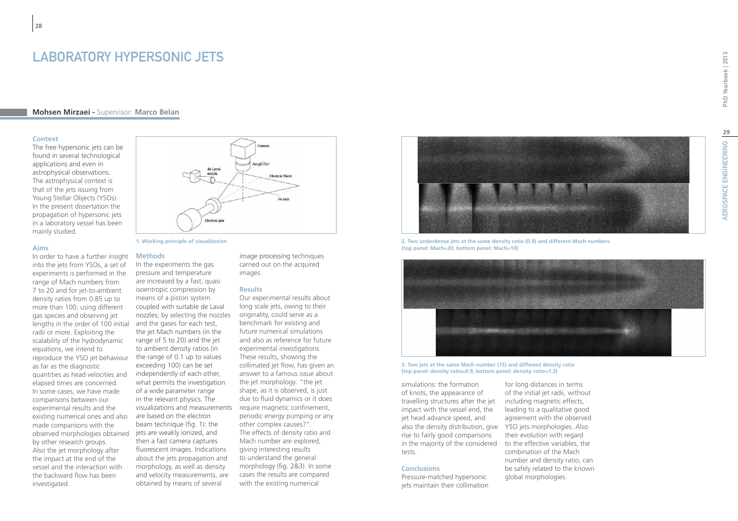### **Mohsen Mirzaei -** Supervisor: **Marco Belan**

#### **Context**

**28**

The free hypersonic jets can be found in several technological applications and even in astrophysical observations. The astrophysical context is that of the jets issuing from Young Stellar Objects (YSOs). In the present dissertation the propagation of hypersonic jets in a laboratory vessel has been mainly studied.

#### **Aims**

In order to have a further insight into the jets from YSOs, a set of experiments is performed in the range of Mach numbers from 7 to 20 and for jet-to-ambient density ratios from 0.85 up to more than 100, using different gas species and observing jet lengths in the order of 100 initial radii or more. Exploiting the scalability of the hydrodynamic equations, we intend to reproduce the YSO jet behaviour as far as the diagnostic quantities as head velocities and elapsed times are concerned. In some cases, we have made comparisons between our experimental results and the existing numerical ones and also made comparisons with the observed morphologies obtained by other research groups. Also the jet morphology after the impact at the end of the vessel and the interaction with the backward flow has been investigated.

# Jet axis Flectron on

**1. Working principle of visualization**

#### **Methods**

In the experiments the gas pressure and temperature are increased by a fast, quasi isoentropic compression by means of a piston system coupled with suitable de Laval nozzles; by selecting the nozzles and the gases for each test, the jet Mach numbers (in the range of 5 to 20) and the jet to ambient density ratios (in the range of 0.1 up to values exceeding 100) can be set independently of each other, what permits the investigation of a wide parameter range in the relevant physics. The visualizations and measurements require magnetic confinement, are based on the electron beam technique (fig. 1): the jets are weakly ionized, and then a fast camera captures fluorescent images. Indications about the jets propagation and morphology, as well as density and velocity measurements, are obtained by means of several

image processing techniques carried out on the acquired images.

#### **Results**

Amplifier

**Electron Shee** 

Our experimental results about long scale jets, owing to their originality, could serve as a benchmark for existing and future numerical simulations and also as reference for future experimental investigations. These results, showing the collimated jet flow, has given an answer to a famous issue about the jet morphology: "the jet shape, as it is observed, is just due to fluid dynamics or it does periodic energy pumping or any other complex causes?". The effects of density ratio and Mach number are explored, giving interesting results to understand the general morphology (fig. 2&3). In some cases the results are compared with the existing numerical



**2. Two underdense jets at the same density ratio (0.9) and different Mach numbers (top panel: Mach=20, bottom panel: Mach=10)**



**3. Two jets at the same Mach number (15) and different density ratio (top panel: density ratio=0.9, bottom panel: density ratio=1.3)**

also the density distribution, give YSO jets morphologies. Also simulations: the formation of knots, the appearance of travelling structures after the jet impact with the vessel end, the jet head advance speed, and rise to fairly good comparisons in the majority of the considered tests.

#### **Conclusions**

Pressure-matched hypersonic jets maintain their collimation

for long distances in terms of the initial jet radii, without including magnetic effects, leading to a qualitative good agreement with the observed their evolution with regard to the effective variables, the combination of the Mach number and density ratio, can be safely related to the known global morphologies.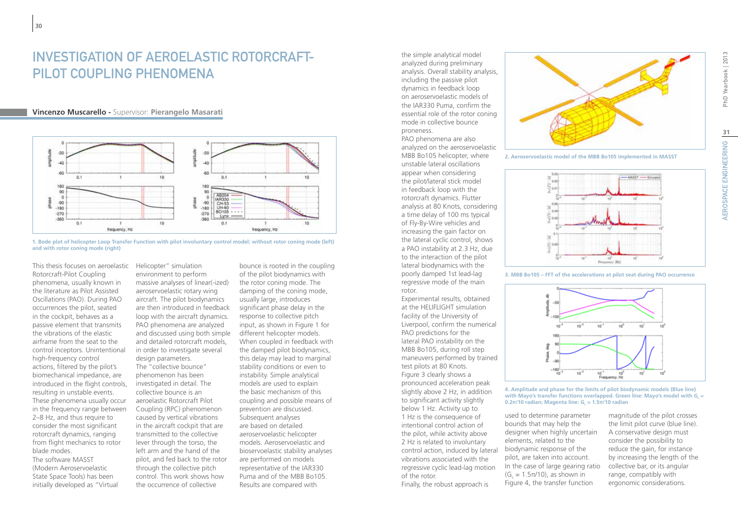## Investigation of Aeroelastic Rotorcraft-PILOT COUPLING PHENOMENA

### **Vincenzo Muscarello -** Supervisor: **Pierangelo Masarati**





This thesis focuses on aeroelastic Rotorcraft-Pilot Coupling phenomena, usually known in the literature as Pilot Assisted Oscillations (PAO). During PAO occurrences the pilot, seated in the cockpit, behaves as a passive element that transmits the vibrations of the elastic airframe from the seat to the control inceptors. Unintentional high-frequency control actions, filtered by the pilot's biomechanical impedance, are introduced in the flight controls, resulting in unstable events. These phenomena usually occur in the frequency range between 2–8 Hz, and thus require to consider the most significant rotorcraft dynamics, ranging from flight mechanics to rotor blade modes. The software MASST (Modern Aeroservoelastic State Space Tools) has been initially developed as "Virtual

Helicopter" simulation environment to perform massive analyses of linear(-ized) aeroservoelastic rotary wing aircraft. The pilot biodynamics are then introduced in feedback loop with the aircraft dynamics. PAO phenomena are analyzed and discussed using both simple and detailed rotorcraft models, in order to investigate several design parameters. The "collective bounce" phenomenon has been investigated in detail. The collective bounce is an aeroelastic Rotorcraft Pilot Coupling (RPC) phenomenon caused by vertical vibrations in the aircraft cockpit that are transmitted to the collective lever through the torso, the left arm and the hand of the pilot, and fed back to the rotor through the collective pitch control. This work shows how the occurrence of collective

bounce is rooted in the coupling of the pilot biodynamics with the rotor coning mode. The damping of the coning mode, usually large, introduces significant phase delay in the response to collective pitch input, as shown in Figure 1 for different helicopter models. When coupled in feedback with the damped pilot biodynamics, this delay may lead to marginal stability conditions or even to instability. Simple analytical models are used to explain the basic mechanism of this coupling and possible means of prevention are discussed. Subsequent analyses are based on detailed aeroservoelastic helicopter models. Aeroservoelastic and bioservoelastic stability analyses are performed on models representative of the IAR330 Puma and of the MBB Bo105. Results are compared with

the simple analytical model analyzed during preliminary analysis. Overall stability analysis, including the passive pilot dynamics in feedback loop on aeroservoelastic models of the IAR330 Puma, confirm the essential role of the rotor coning mode in collective bounce proneness.

PAO phenomena are also analyzed on the aeroservoelastic MBB Bo105 helicopter, where unstable lateral oscillations appear when considering the pilot/lateral stick model in feedback loop with the rotorcraft dynamics. Flutter analysis at 80 Knots, considering a time delay of 100 ms typical of Fly-By-Wire vehicles and increasing the gain factor on the lateral cyclic control, shows a PAO instability at 2.3 Hz, due to the interaction of the pilot lateral biodynamics with the poorly damped 1st lead-lag regressive mode of the main rotor.

Experimental results, obtained at the HELIFLIGHT simulation facility of the University of Liverpool, confirm the numerical PAO predictions for the lateral PAO instability on the MBB Bo105, during roll step maneuvers performed by trained test pilots at 80 Knots. Figure 3 clearly shows a pronounced acceleration peak slightly above 2 Hz, in addition to significant activity slightly below 1 Hz. Activity up to 1 Hz is the consequence of intentional control action of the pilot, while activity above 2 Hz is related to involuntary control action, induced by lateral vibrations associated with the regressive cyclic lead-lag motion of the rotor.

Finally, the robust approach is



**2. Aeroservoelastic model of the MBB Bo105 implemented in MASST**



**3. MBB Bo105 – FFT of the accelerations at pilot seat during PAO occurrence**



**4. Amplitude and phase for the limits of pilot biodynamic models (Blue line)**  with Mayo's transfer functions overlapped. Green line: Mayo's model with G<sub>c</sub> = **0.2π/10 radian; Magenta line: G<sub>c</sub> = 1.5π/10 radian** 

used to determine parameter bounds that may help the designer when highly uncertain elements, related to the biodynamic response of the pilot, are taken into account. In the case of large gearing ratio  $(G<sub>c</sub> = 1.5π/10)$ , as shown in Figure 4, the transfer function

magnitude of the pilot crosses the limit pilot curve (blue line). A conservative design must consider the possibility to reduce the gain, for instance by increasing the length of the collective bar, or its angular range, compatibly with ergonomic considerations.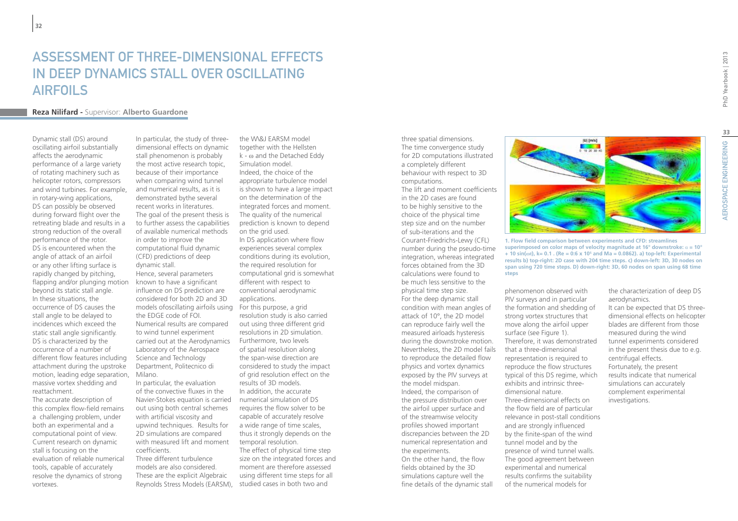## Assessment of three-dimensional effects in deep dynamics stall over oscillating **AIRFOILS**

### **Reza Nilifard -** Supervisor: **Alberto Guardone**

Dynamic stall (DS) around oscillating airfoil substantially affects the aerodynamic performance of a large variety of rotating machinery such as helicopter rotors, compressors and wind turbines. For example, in rotary-wing applications, DS can possibly be observed during forward flight over the retreating blade and results in a strong reduction of the overall performance of the rotor. DS is encountered when the angle of attack of an airfoil or any other lifting surface is rapidly changed by pitching, flapping and/or plunging motion beyond its static stall angle. In these situations, the occurrence of DS causes the stall angle to be delayed to incidences which exceed the static stall angle significantly. DS is characterized by the occurrence of a number of different flow features including attachment during the upstroke motion, leading edge separation, massive vortex shedding and reattachment.

The accurate description of this complex flow-field remains a challenging problem, under both an experimental and a computational point of view. Current research on dynamic stall is focusing on the evaluation of reliable numerical tools, capable of accurately resolve the dynamics of strong vortexes.

In particular, the study of threedimensional effects on dynamic stall phenomenon is probably the most active research topic, because of their importance when comparing wind tunnel and numerical results, as it is demonstrated bythe several recent works in literatures. The goal of the present thesis is to further assess the capabilities of available numerical methods in order to improve the computational fluid dynamic (CFD) predictions of deep dynamic stall. Hence, several parameters known to have a significant

influence on DS prediction are considered for both 2D and 3D models ofoscillating airfoils using For this purpose, a grid the EDGE code of FOI. Numerical results are compared to wind tunnel experiment carried out at the Aerodynamics Laboratory of the Aerospace Science and Technology Department, Politecnico di Milano.

In particular, the evaluation of the convective fluxes in the Navier-Stokes equation is carried numerical simulation of DS out using both central schemes with artificial viscosity and upwind techniques. Results for 2D simulations are compared with measured lift and moment coefficients.

Three different turbulence models are also considered. These are the explicit Algebraic Reynolds Stress Models (EARSM),

the W\&J EARSM model together with the Hellsten k - ω and the Detached Eddy Simulation model. Indeed, the choice of the appropriate turbulence model is shown to have a large impact on the determination of the integrated forces and moment. The quality of the numerical prediction is known to depend on the grid used. In DS application where flow experiences several complex conditions during its evolution, the required resolution for computational grid is somewhat different with respect to conventional aerodynamic

applications.

resolution study is also carried out using three different grid resolutions in 2D simulation. Furthermore, two levels of spatial resolution along the span-wise direction are considered to study the impact of grid resolution effect on the results of 3D models. In addition, the accurate requires the flow solver to be capable of accurately resolve a wide range of time scales, thus it strongly depends on the temporal resolution. The effect of physical time step size on the integrated forces and moment are therefore assessed

using different time steps for all studied cases in both two and

three spatial dimensions. The time convergence study for 2D computations illustrated a completely different behaviour with respect to 3D computations.

The lift and moment coefficients in the 2D cases are found to be highly sensitive to the choice of the physical time step size and on the number of sub-iterations and the Courant-Friedrichs-Lewy (CFL) number during the pseudo-time integration, whereas integrated forces obtained from the 3D calculations were found to be much less sensitive to the physical time step size. For the deep dynamic stall condition with mean angles of attack of 10°, the 2D model can reproduce fairly well the measured airloads hysteresis during the downstroke motion. Nevertheless, the 2D model fails to reproduce the detailed flow physics and vortex dynamics exposed by the PIV surveys at the model midspan. Indeed, the comparison of the pressure distribution over the airfoil upper surface and of the streamwise velocity profiles showed important discrepancies between the 2D numerical representation and the experiments. On the other hand, the flow fields obtained by the 3D simulations capture well the fine details of the dynamic stall



**1. Flow field comparison between experiments and CFD: streamlines superimposed on color maps of velocity magnitude at 16° downstroke:** α **= 10° + 10 sin(ωt), k= 0.1 . (Re = 0:6 x 105 and Ma = 0.0862). a) top-left: Experimental results b) top-right: 2D case with 204 time steps. c) down-left: 3D, 30 nodes on span using 720 time steps. D) down-right: 3D, 60 nodes on span using 68 time steps**

phenomenon observed with PIV surveys and in particular the formation and shedding of strong vortex structures that move along the airfoil upper surface (see Figure 1). Therefore, it was demonstrated that a three-dimensional representation is required to reproduce the flow structures typical of this DS regime, which exhibits and intrinsic threedimensional nature. Three-dimensional effects on the flow field are of particular relevance in post-stall conditions and are strongly influenced by the finite-span of the wind tunnel model and by the presence of wind tunnel walls. The good agreement between experimental and numerical results confirms the suitability of the numerical models for

the characterization of deep DS aerodynamics.

It can be expected that DS threedimensional effects on helicopter blades are different from those measured during the wind tunnel experiments considered in the present thesis due to e.g. centrifugal effects. Fortunately, the present results indicate that numerical simulations can accurately complement experimental investigations.

**33**

AEROSPACE ENGINEERING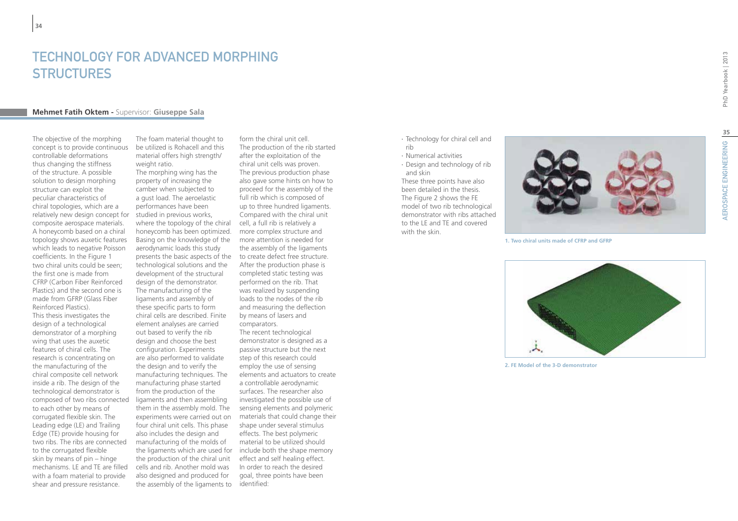### TECHNOLOGY FOR ADVANCED MORPHING **STRUCTURES**

#### **Mehmet Fatih Oktem -** Supervisor: **Giuseppe Sala**

The objective of the morphing concept is to provide continuous controllable deformations thus changing the stiffness of the structure. A possible solution to design morphing structure can exploit the peculiar characteristics of chiral topologies, which are a relatively new design concept for composite aerospace materials. A honeycomb based on a chiral topology shows auxetic features which leads to negative Poisson coefficients. In the Figure 1 two chiral units could be seen; the first one is made from CFRP (Carbon Fiber Reinforced Plastics) and the second one is made from GFRP (Glass Fiber Reinforced Plastics). This thesis investigates the design of a technological demonstrator of a morphing wing that uses the auxetic features of chiral cells. The research is concentrating on the manufacturing of the chiral composite cell network inside a rib. The design of the technological demonstrator is composed of two ribs connected to each other by means of corrugated flexible skin. The Leading edge (LE) and Trailing Edge (TE) provide housing for two ribs. The ribs are connected to the corrugated flexible skin by means of pin – hinge mechanisms. LE and TE are filled with a foam material to provide shear and pressure resistance.

The foam material thought to be utilized is Rohacell and this material offers high strength/ weight ratio.

The morphing wing has the property of increasing the camber when subjected to a gust load. The aeroelastic performances have been studied in previous works, where the topology of the chiral honeycomb has been optimized. Basing on the knowledge of the aerodynamic loads this study presents the basic aspects of the technological solutions and the development of the structural design of the demonstrator. The manufacturing of the ligaments and assembly of these specific parts to form chiral cells are described. Finite element analyses are carried out based to verify the rib design and choose the best configuration. Experiments are also performed to validate the design and to verify the manufacturing techniques. The manufacturing phase started from the production of the ligaments and then assembling them in the assembly mold. The experiments were carried out on four chiral unit cells. This phase also includes the design and manufacturing of the molds of the ligaments which are used for the production of the chiral unit cells and rib. Another mold was also designed and produced for the assembly of the ligaments to identified:

form the chiral unit cell. The production of the rib started after the exploitation of the chiral unit cells was proven. The previous production phase also gave some hints on how to proceed for the assembly of the full rib which is composed of up to three hundred ligaments. Compared with the chiral unit cell, a full rib is relatively a more complex structure and more attention is needed for the assembly of the ligaments to create defect free structure. After the production phase is completed static testing was performed on the rib. That was realized by suspending loads to the nodes of the rib and measuring the deflection by means of lasers and comparators. The recent technological demonstrator is designed as a passive structure but the next step of this research could employ the use of sensing elements and actuators to create a controllable aerodynamic surfaces. The researcher also investigated the possible use of sensing elements and polymeric materials that could change their shape under several stimulus effects. The best polymeric material to be utilized should include both the shape memory effect and self healing effect. In order to reach the desired goal, three points have been

- ∙ Technology for chiral cell and rib
- ∙ Numerical activities
- ∙ Design and technology of rib and skin

These three points have also been detailed in the thesis. The Figure 2 shows the FE model of two rib technological demonstrator with ribs attached to the LE and TE and covered with the skin.

**1. Two chiral units made of CFRP and GFRP**

**2. FE Model of the 3-D demonstrator**

PhD Yearbook | 2013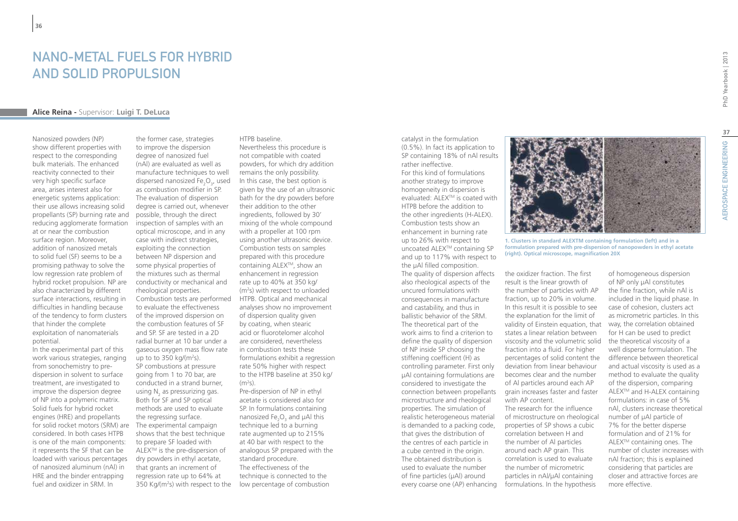### Nano-metal fuels for hybrid and solid propulsion

### **Alice Reina -** Supervisor: **Luigi T. DeLuca**

Nanosized powders (NP) show different properties with respect to the corresponding bulk materials. The enhanced reactivity connected to their very high specific surface area, arises interest also for energetic systems application: their use allows increasing solid propellants (SP) burning rate and reducing agglomerate formation at or near the combustion surface region. Moreover, addition of nanosized metals to solid fuel (SF) seems to be a promising pathway to solve the low regression rate problem of hybrid rocket propulsion. NP are also characterized by different surface interactions, resulting in difficulties in handling because of the tendency to form clusters that hinder the complete exploitation of nanomaterials potential.

In the experimental part of this work various strategies, ranging from sonochemistry to predispersion in solvent to surface treatment, are investigated to improve the dispersion degree of NP into a polymeric matrix. Solid fuels for hybrid rocket engines (HRE) and propellants for solid rocket motors (SRM) are considered. In both cases HTPB is one of the main components: it represents the SF that can be loaded with various percentages of nanosized aluminum (nAl) in HRE and the binder entrapping fuel and oxidizer in SRM. In

the former case, strategies to improve the dispersion degree of nanosized fuel (nAl) are evaluated as well as manufacture techniques to well dispersed nanosized  $Fe<sub>2</sub>O<sub>3</sub>$ , used as combustion modifier in SP. The evaluation of dispersion degree is carried out, whenever possible, through the direct inspection of samples with an optical microscope, and in any case with indirect strategies, exploiting the connection between NP dispersion and some physical properties of the mixtures such as thermal conductivity or mechanical and rheological properties. Combustion tests are performed to evaluate the effectiveness of the improved dispersion on the combustion features of SF and SP. SF are tested in a 2D radial burner at 10 bar under a gaseous oxygen mass flow rate up to to 350 kg/( $m<sup>2</sup>$ s). SP combustions at pressure going from 1 to 70 bar, are conducted in a strand burner, using  $N_2$  as pressurizing gas. Both for SF and SP optical methods are used to evaluate the regressing surface. The experimental campaign shows that the best technique to prepare SF loaded with ALEX<sup>™</sup> is the pre-dispersion of dry powders in ethyl acetate, that grants an increment of regression rate up to 64% at 350 Kg/(m<sup>2</sup>s) with respect to the

### HTPB baseline.

Nevertheless this procedure is not compatible with coated powders, for which dry addition remains the only possibility. In this case, the best option is given by the use of an ultrasonic bath for the dry powders before their addition to the other ingredients, followed by 30' mixing of the whole compound with a propeller at 100 rpm using another ultrasonic device. Combustion tests on samples prepared with this procedure containing ALEXTM, show an enhancement in regression rate up to 40% at 350 kg/ (m2 s) with respect to unloaded HTPB. Optical and mechanical analyses show no improvement of dispersion quality given by coating, when stearic acid or fluorotelomer alcohol are considered, nevertheless in combustion tests these formulations exhibit a regression rate 50% higher with respect to the HTPB baseline at 350 kg/ (m2 s).

Pre-dispersion of NP in ethyl acetate is considered also for SP. In formulations containing nanosized Fe $_{2}$ O<sub>3</sub> and  $\mu$ Al this technique led to a burning rate augmented up to 215% at 40 bar with respect to the analogous SP prepared with the standard procedure. The effectiveness of the technique is connected to the low percentage of combustion

catalyst in the formulation (0.5%). In fact its application to SP containing 18% of nAl results rather ineffective. For this kind of formulations another strategy to improve homogeneity in dispersion is evaluated: ALEX<sup>™</sup> is coated with HTPB before the addition to the other ingredients (H-ALEX). Combustion tests show an enhancement in burning rate up to 26% with respect to uncoated ALEX™ containing SP and up to 117% with respect to the μAl filled composition. The quality of dispersion affects also rheological aspects of the uncured formulations with consequences in manufacture and castability, and thus in ballistic behavior of the SRM. The theoretical part of the work aims to find a criterion to define the quality of dispersion of NP inside SP choosing the stiffening coefficient (H) as controlling parameter. First only μAl containing formulations are considered to investigate the connection between propellants microstructure and rheological properties. The simulation of realistic heterogeneous material is demanded to a packing code, that gives the distribution of the centres of each particle in a cube centred in the origin. The obtained distribution is used to evaluate the number of fine particles (μAl) around every coarse one (AP) enhancing

**1. Clusters in standard ALEXTM containing formulation (left) and in a formulation prepared with pre-dispersion of nanopowders in ethyl acetate (right). Optical microscope, magnification 20X**

the oxidizer fraction. The first result is the linear growth of the number of particles with AP fraction, up to 20% in volume. In this result it is possible to see the explanation for the limit of validity of Einstein equation, that states a linear relation between viscosity and the volumetric solid fraction into a fluid. For higher percentages of solid content the deviation from linear behaviour becomes clear and the number of Al particles around each AP grain increases faster and faster with AP content.

The research for the influence of microstructure on rheological properties of SP shows a cubic correlation between H and the number of Al particles around each AP grain. This correlation is used to evaluate the number of micrometric particles in nAl/μAl containing formulations. In the hypothesis

of homogeneous dispersion of NP only μAl constitutes the fine fraction, while nAl is included in the liquid phase. In case of cohesion, clusters act as micrometric particles. In this way, the correlation obtained for H can be used to predict the theoretical viscosity of a well disperse formulation. The difference between theoretical and actual viscosity is used as a method to evaluate the quality of the dispersion, comparing ALEX<sup>™</sup> and H-ALEX containing formulations: in case of 5% nAl, clusters increase theoretical number of μAl particle of 7% for the better disperse formulation and of 21% for ALEXTM containing ones. The number of cluster increases with nAl fraction; this is explained considering that particles are closer and attractive forces are more effective.